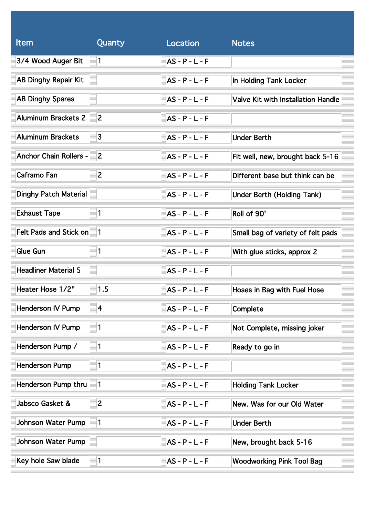| <b>Item</b>                      | Quanty         | Location         | <b>Notes</b>                              |
|----------------------------------|----------------|------------------|-------------------------------------------|
| 3/4 Wood Auger Bit               | $\vert$ 1      | $AS - P - L - F$ |                                           |
| <b>AB Dinghy Repair Kit</b>      |                | $AS - P - L - F$ | In Holding Tank Locker                    |
| <b>AB Dinghy Spares</b>          |                | $AS - P - L - F$ | <b>Valve Kit with Installation Handle</b> |
| Aluminum Brackets 2              | $\overline{2}$ | $AS - P - L - F$ |                                           |
| Aluminum Brackets                | 3              | AS - P - L - F   | <b>Under Berth</b>                        |
| <b>Anchor Chain Rollers -</b>    | $\overline{2}$ | AS - P - L - F   | Fit well, new, brought back 5-16          |
| Caframo Fan                      | $\overline{2}$ | $AS - P - L - F$ | Different base but think can be           |
| <b>Dinghy Patch Material</b>     |                | $AS - P - L - F$ | <b>Under Berth (Holding Tank)</b>         |
| <b>Exhaust Tape</b>              | $\vert$ 1      | $AS - P - L - F$ | Roll of 90'                               |
| Felt Pads and Stick on 1         |                | $AS - P - L - F$ | Small bag of variety of felt pads         |
| Glue Gun                         | $\vert$ 1      | $AS - P - L - F$ | With glue sticks, approx 2                |
| <b>Headliner Material 5</b><br>≣ |                | $AS - P - L - F$ |                                           |
| Heater Hose 1/2"                 | 1.5            | $AS - P - L - F$ | Hoses in Bag with Fuel Hose               |
| <b>Henderson IV Pump</b>         | 4              | $AS - P - L - F$ | Complete                                  |
| Henderson IV Pump                | 1              | $AS - P - L - F$ | Not Complete, missing joker               |
| Henderson Pump /                 | 1              | $AS - P - L - F$ | Ready to go in                            |
| <b>Henderson Pump</b>            | $\vert$ 1      | $AS - P - L - F$ |                                           |
| Henderson Pump thru              | 1              | $AS - P - L - F$ | <b>Holding Tank Locker</b>                |
| Jabsco Gasket &                  | $\overline{2}$ | $AS - P - L - F$ | New. Was for our Old Water                |
| Johnson Water Pump               | 1              | AS - P - L - F   | <b>Under Berth</b>                        |
| Johnson Water Pump               |                | $AS - P - L - F$ | New, brought back 5-16                    |
| Key hole Saw blade               | $\vert$ 1      | $AS - P - L - F$ | <b>Woodworking Pink Tool Bag</b>          |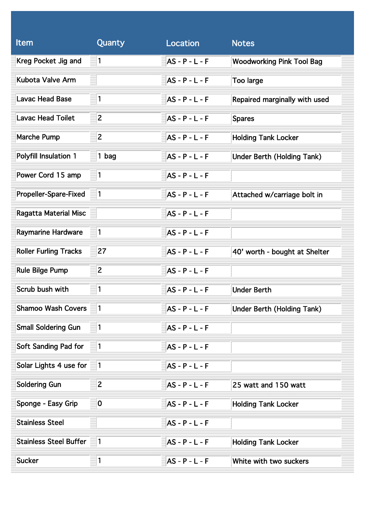| <b>Item</b>                   | Quanty                  | Location         | <b>Notes</b>                      |
|-------------------------------|-------------------------|------------------|-----------------------------------|
| Kreg Pocket Jig and           | $\vert$ 1               | $AS - P - L - F$ | <b>Woodworking Pink Tool Bag</b>  |
| Kubota Valve Arm              |                         | $AS - P - L - F$ | Too large                         |
| <b>Lavac Head Base</b>        | $\vert$ 1               | $AS - P - L - F$ | Repaired marginally with used     |
| <b>Lavac Head Toilet</b>      | $\overline{2}$          | $AS - P - L - F$ | <b>Spares</b>                     |
| <b>Marche Pump</b>            | $\overline{2}$          | $AS - P - L - F$ | <b>Holding Tank Locker</b>        |
| Polyfill Insulation 1         | $1$ bag                 | $AS - P - L - F$ | <b>Under Berth (Holding Tank)</b> |
| Power Cord 15 amp             | $\vert$ 1               | $AS - P - L - F$ |                                   |
| Propeller-Spare-Fixed         | 11                      | $AS - P - L - F$ | Attached w/carriage bolt in       |
| <b>Ragatta Material Misc</b>  |                         | $AS - P - L - F$ |                                   |
| Raymarine Hardware            | $\vert$ 1               | $AS - P - L - F$ |                                   |
| <b>Roller Furling Tracks</b>  | 27                      | $AS - P - L - F$ | 40' worth - bought at Shelter     |
| <b>Rule Bilge Pump</b>        | $\overline{2}$          | $AS - P - L - F$ |                                   |
| Scrub bush with               | 1                       | <b>AS-P-L-F</b>  | <b>Under Berth</b>                |
| <b>Shamoo Wash Covers</b>     |                         | $AS - P - L - F$ | <b>Under Berth (Holding Tank)</b> |
| <b>Small Soldering Gun</b>    | 1                       | $AS - P - L - F$ |                                   |
| Soft Sanding Pad for          | $\vert$ 1               | $AS - P - L - F$ |                                   |
| Solar Lights 4 use for 1      |                         | $AS - P - L - F$ |                                   |
| Soldering Gun                 | $\overline{2}$          | $AS - P - L - F$ | 25 watt and 150 watt              |
| Sponge - Easy Grip            | $\overline{\mathbf{0}}$ | $AS - P - L - F$ | <b>Holding Tank Locker</b>        |
| <b>Stainless Steel</b>        |                         | $AS - P - L - F$ |                                   |
| <b>Stainless Steel Buffer</b> | 11                      | $AS - P - L - F$ | <b>Holding Tank Locker</b>        |
| <b>Sucker</b>                 | $\vert$ 1               | $AS - P - L - F$ | White with two suckers            |